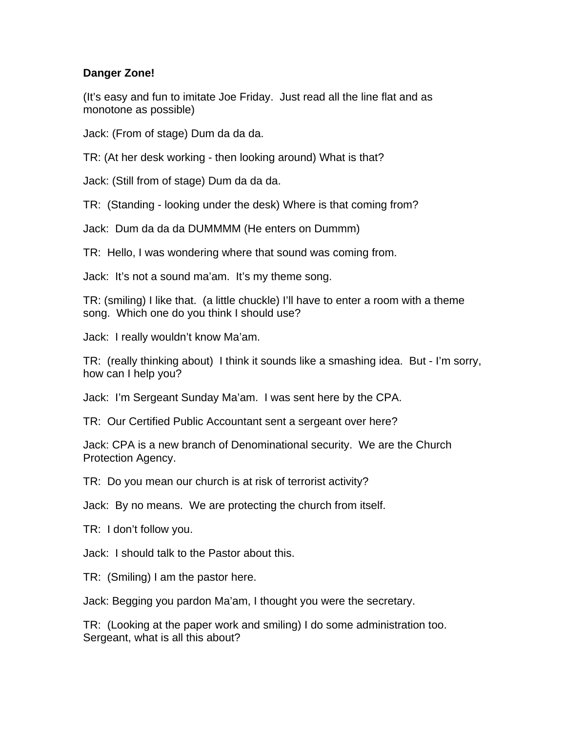## **Danger Zone!**

(It's easy and fun to imitate Joe Friday. Just read all the line flat and as monotone as possible)

Jack: (From of stage) Dum da da da.

TR: (At her desk working - then looking around) What is that?

Jack: (Still from of stage) Dum da da da.

TR: (Standing - looking under the desk) Where is that coming from?

Jack: Dum da da da DUMMMM (He enters on Dummm)

TR: Hello, I was wondering where that sound was coming from.

Jack: It's not a sound ma'am. It's my theme song.

TR: (smiling) I like that. (a little chuckle) I'll have to enter a room with a theme song. Which one do you think I should use?

Jack: I really wouldn't know Ma'am.

TR: (really thinking about) I think it sounds like a smashing idea. But - I'm sorry, how can I help you?

Jack: I'm Sergeant Sunday Ma'am. I was sent here by the CPA.

TR: Our Certified Public Accountant sent a sergeant over here?

Jack: CPA is a new branch of Denominational security. We are the Church Protection Agency.

TR: Do you mean our church is at risk of terrorist activity?

Jack: By no means. We are protecting the church from itself.

TR: I don't follow you.

Jack: I should talk to the Pastor about this.

TR: (Smiling) I am the pastor here.

Jack: Begging you pardon Ma'am, I thought you were the secretary.

TR: (Looking at the paper work and smiling) I do some administration too. Sergeant, what is all this about?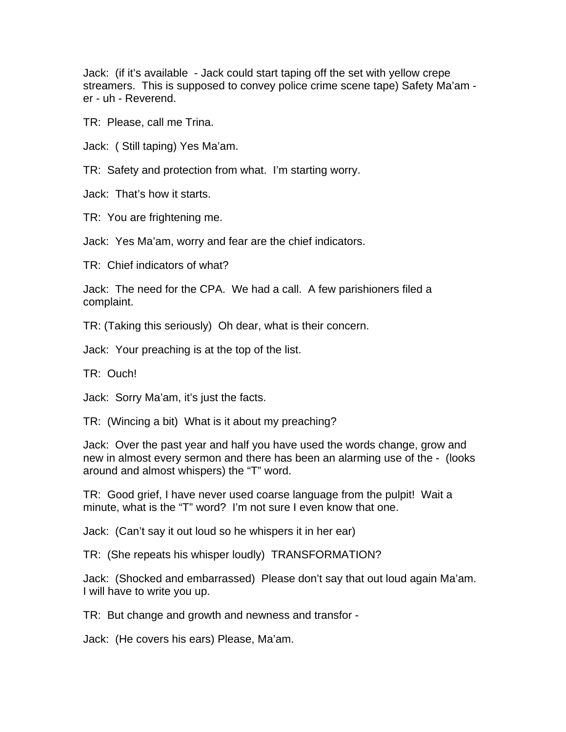Jack: (if it's available - Jack could start taping off the set with yellow crepe streamers. This is supposed to convey police crime scene tape) Safety Ma'am er - uh - Reverend.

TR: Please, call me Trina.

Jack: ( Still taping) Yes Ma'am.

TR: Safety and protection from what. I'm starting worry.

Jack: That's how it starts.

TR: You are frightening me.

Jack: Yes Ma'am, worry and fear are the chief indicators.

TR: Chief indicators of what?

Jack: The need for the CPA. We had a call. A few parishioners filed a complaint.

TR: (Taking this seriously) Oh dear, what is their concern.

Jack: Your preaching is at the top of the list.

TR: Ouch!

Jack: Sorry Ma'am, it's just the facts.

TR: (Wincing a bit) What is it about my preaching?

Jack: Over the past year and half you have used the words change, grow and new in almost every sermon and there has been an alarming use of the - (looks around and almost whispers) the "T" word.

TR: Good grief, I have never used coarse language from the pulpit! Wait a minute, what is the "T" word? I'm not sure I even know that one.

Jack: (Can't say it out loud so he whispers it in her ear)

TR: (She repeats his whisper loudly) TRANSFORMATION?

Jack: (Shocked and embarrassed) Please don't say that out loud again Ma'am. I will have to write you up.

TR: But change and growth and newness and transfor -

Jack: (He covers his ears) Please, Ma'am.